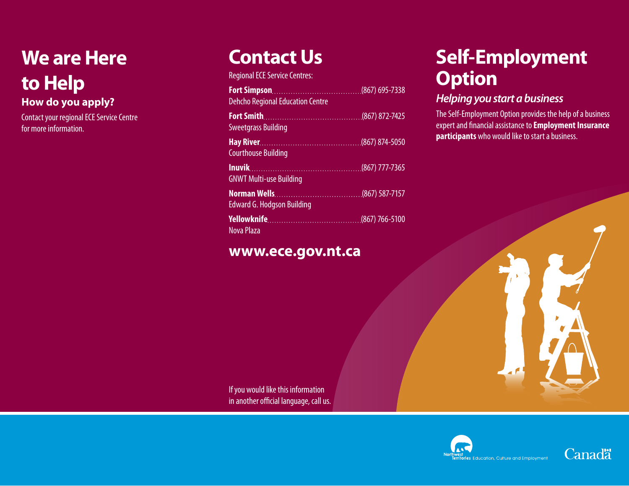# **We are Here to Help**

**How do you apply?**

Contact your regional ECE Service Centre for more information.

## **Contact Us**

Regional ECE Service Centres:

| <b>Dehcho Regional Education Centre</b> |  |
|-----------------------------------------|--|
| <b>Sweetgrass Building</b>              |  |
| <b>Courthouse Building</b>              |  |
| <b>GNWT Multi-use Building</b>          |  |
| <b>Edward G. Hodgson Building</b>       |  |
| <b>Nova Plaza</b>                       |  |

## **www.ece.gov.nt.ca**

## **Self-Employment Option**

### *Helping you start a business*

The Self-Employment Option provides the help of a business expert and financial assistance to **Employment Insurance participants** who would like to start a business.

If you would like this information in another official language, call us.